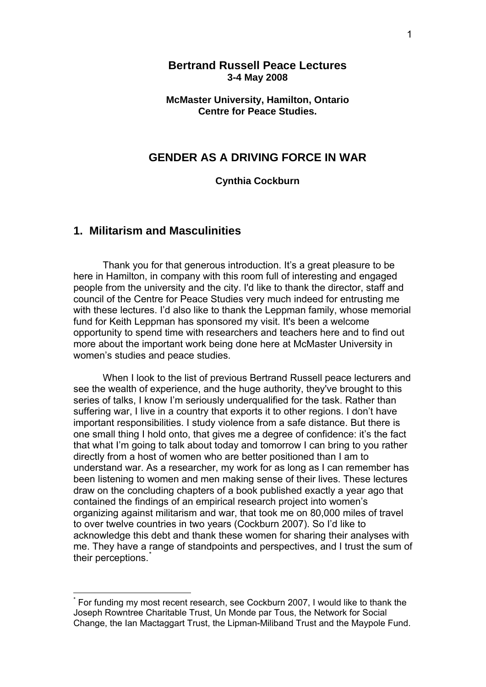## **Bertrand Russell Peace Lectures 3-4 May 2008**

### **McMaster University, Hamilton, Ontario Centre for Peace Studies.**

## **GENDER AS A DRIVING FORCE IN WAR**

#### **Cynthia Cockburn**

## **1. Militarism and Masculinities**

1

Thank you for that generous introduction. It's a great pleasure to be here in Hamilton, in company with this room full of interesting and engaged people from the university and the city. I'd like to thank the director, staff and council of the Centre for Peace Studies very much indeed for entrusting me with these lectures. I'd also like to thank the Leppman family, whose memorial fund for Keith Leppman has sponsored my visit. It's been a welcome opportunity to spend time with researchers and teachers here and to find out more about the important work being done here at McMaster University in women's studies and peace studies.

When I look to the list of previous Bertrand Russell peace lecturers and see the wealth of experience, and the huge authority, they've brought to this series of talks, I know I'm seriously underqualified for the task. Rather than suffering war, I live in a country that exports it to other regions. I don't have important responsibilities. I study violence from a safe distance. But there is one small thing I hold onto, that gives me a degree of confidence: it's the fact that what I'm going to talk about today and tomorrow I can bring to you rather directly from a host of women who are better positioned than I am to understand war. As a researcher, my work for as long as I can remember has been listening to women and men making sense of their lives. These lectures draw on the concluding chapters of a book published exactly a year ago that contained the findings of an empirical research project into women's organizing against militarism and war, that took me on 80,000 miles of travel to over twelve countries in two years (Cockburn 2007). So I'd like to acknowledge this debt and thank these women for sharing their analyses with me. They have a range of standpoints and perspectives, and I trust the sum of their perceptions.

<span id="page-0-0"></span><sup>\*</sup> For funding my most recent research, see Cockburn 2007, I would like to thank the Joseph Rowntree Charitable Trust, Un Monde par Tous, the Network for Social Change, the Ian Mactaggart Trust, the Lipman-Miliband Trust and the Maypole Fund.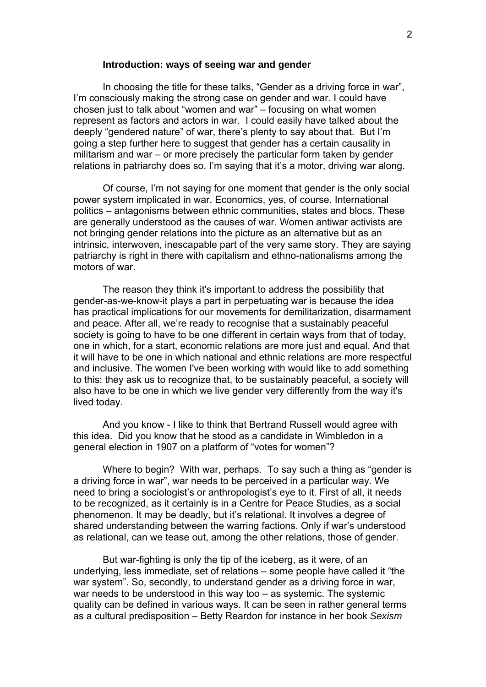#### **Introduction: ways of seeing war and gender**

In choosing the title for these talks, "Gender as a driving force in war", I'm consciously making the strong case on gender and war. I could have chosen just to talk about "women and war" – focusing on what women represent as factors and actors in war. I could easily have talked about the deeply "gendered nature" of war, there's plenty to say about that. But I'm going a step further here to suggest that gender has a certain causality in militarism and war – or more precisely the particular form taken by gender relations in patriarchy does so. I'm saying that it's a motor, driving war along.

Of course, I'm not saying for one moment that gender is the only social power system implicated in war. Economics, yes, of course. International politics – antagonisms between ethnic communities, states and blocs. These are generally understood as the causes of war. Women antiwar activists are not bringing gender relations into the picture as an alternative but as an intrinsic, interwoven, inescapable part of the very same story. They are saying patriarchy is right in there with capitalism and ethno-nationalisms among the motors of war.

The reason they think it's important to address the possibility that gender-as-we-know-it plays a part in perpetuating war is because the idea has practical implications for our movements for demilitarization, disarmament and peace. After all, we're ready to recognise that a sustainably peaceful society is going to have to be one different in certain ways from that of today, one in which, for a start, economic relations are more just and equal. And that it will have to be one in which national and ethnic relations are more respectful and inclusive. The women I've been working with would like to add something to this: they ask us to recognize that, to be sustainably peaceful, a society will also have to be one in which we live gender very differently from the way it's lived today.

And you know - I like to think that Bertrand Russell would agree with this idea. Did you know that he stood as a candidate in Wimbledon in a general election in 1907 on a platform of "votes for women"?

Where to begin? With war, perhaps. To say such a thing as "gender is a driving force in war", war needs to be perceived in a particular way. We need to bring a sociologist's or anthropologist's eye to it. First of all, it needs to be recognized, as it certainly is in a Centre for Peace Studies, as a social phenomenon. It may be deadly, but it's relational. It involves a degree of shared understanding between the warring factions. Only if war's understood as relational, can we tease out, among the other relations, those of gender.

But war-fighting is only the tip of the iceberg, as it were, of an underlying, less immediate, set of relations – some people have called it "the war system". So, secondly, to understand gender as a driving force in war, war needs to be understood in this way too – as systemic. The systemic quality can be defined in various ways. It can be seen in rather general terms as a cultural predisposition – Betty Reardon for instance in her book *Sexism*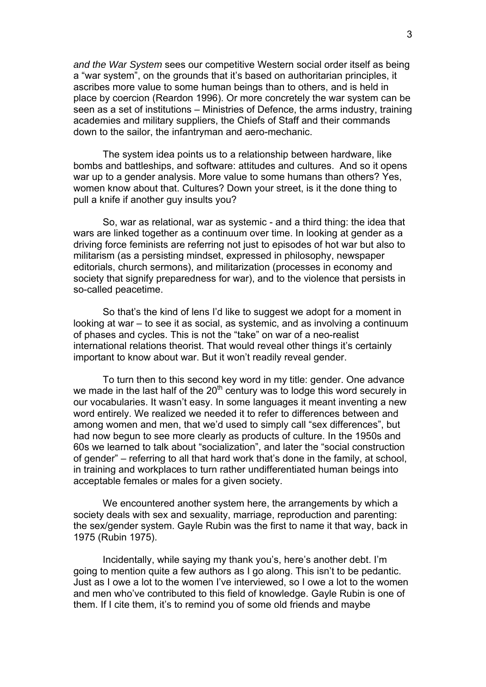*and the War System* sees our competitive Western social order itself as being a "war system", on the grounds that it's based on authoritarian principles, it ascribes more value to some human beings than to others, and is held in place by coercion (Reardon 1996). Or more concretely the war system can be seen as a set of institutions – Ministries of Defence, the arms industry, training academies and military suppliers, the Chiefs of Staff and their commands down to the sailor, the infantryman and aero-mechanic.

The system idea points us to a relationship between hardware, like bombs and battleships, and software: attitudes and cultures. And so it opens war up to a gender analysis. More value to some humans than others? Yes, women know about that. Cultures? Down your street, is it the done thing to pull a knife if another guy insults you?

So, war as relational, war as systemic - and a third thing: the idea that wars are linked together as a continuum over time. In looking at gender as a driving force feminists are referring not just to episodes of hot war but also to militarism (as a persisting mindset, expressed in philosophy, newspaper editorials, church sermons), and militarization (processes in economy and society that signify preparedness for war), and to the violence that persists in so-called peacetime.

So that's the kind of lens I'd like to suggest we adopt for a moment in looking at war – to see it as social, as systemic, and as involving a continuum of phases and cycles. This is not the "take" on war of a neo-realist international relations theorist. That would reveal other things it's certainly important to know about war. But it won't readily reveal gender.

To turn then to this second key word in my title: gender. One advance we made in the last half of the  $20<sup>th</sup>$  century was to lodge this word securely in our vocabularies. It wasn't easy. In some languages it meant inventing a new word entirely. We realized we needed it to refer to differences between and among women and men, that we'd used to simply call "sex differences", but had now begun to see more clearly as products of culture. In the 1950s and 60s we learned to talk about "socialization", and later the "social construction of gender" – referring to all that hard work that's done in the family, at school, in training and workplaces to turn rather undifferentiated human beings into acceptable females or males for a given society.

We encountered another system here, the arrangements by which a society deals with sex and sexuality, marriage, reproduction and parenting: the sex/gender system. Gayle Rubin was the first to name it that way, back in 1975 (Rubin 1975).

Incidentally, while saying my thank you's, here's another debt. I'm going to mention quite a few authors as I go along. This isn't to be pedantic. Just as I owe a lot to the women I've interviewed, so I owe a lot to the women and men who've contributed to this field of knowledge. Gayle Rubin is one of them. If I cite them, it's to remind you of some old friends and maybe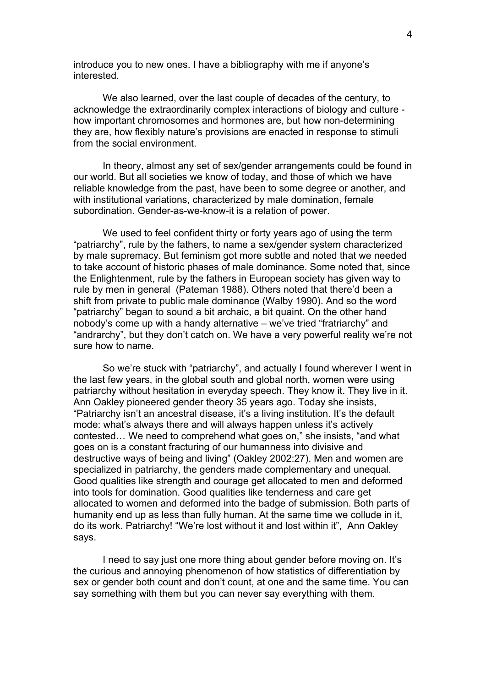introduce you to new ones. I have a bibliography with me if anyone's interested.

We also learned, over the last couple of decades of the century, to acknowledge the extraordinarily complex interactions of biology and culture how important chromosomes and hormones are, but how non-determining they are, how flexibly nature's provisions are enacted in response to stimuli from the social environment.

In theory, almost any set of sex/gender arrangements could be found in our world. But all societies we know of today, and those of which we have reliable knowledge from the past, have been to some degree or another, and with institutional variations, characterized by male domination, female subordination. Gender-as-we-know-it is a relation of power.

We used to feel confident thirty or forty years ago of using the term "patriarchy", rule by the fathers, to name a sex/gender system characterized by male supremacy. But feminism got more subtle and noted that we needed to take account of historic phases of male dominance. Some noted that, since the Enlightenment, rule by the fathers in European society has given way to rule by men in general (Pateman 1988). Others noted that there'd been a shift from private to public male dominance (Walby 1990). And so the word "patriarchy" began to sound a bit archaic, a bit quaint. On the other hand nobody's come up with a handy alternative – we've tried "fratriarchy" and "andrarchy", but they don't catch on. We have a very powerful reality we're not sure how to name.

So we're stuck with "patriarchy", and actually I found wherever I went in the last few years, in the global south and global north, women were using patriarchy without hesitation in everyday speech. They know it. They live in it. Ann Oakley pioneered gender theory 35 years ago. Today she insists, "Patriarchy isn't an ancestral disease, it's a living institution. It's the default mode: what's always there and will always happen unless it's actively contested… We need to comprehend what goes on," she insists, "and what goes on is a constant fracturing of our humanness into divisive and destructive ways of being and living" (Oakley 2002:27). Men and women are specialized in patriarchy, the genders made complementary and unequal. Good qualities like strength and courage get allocated to men and deformed into tools for domination. Good qualities like tenderness and care get allocated to women and deformed into the badge of submission. Both parts of humanity end up as less than fully human. At the same time we collude in it, do its work. Patriarchy! "We're lost without it and lost within it", Ann Oakley says.

I need to say just one more thing about gender before moving on. It's the curious and annoying phenomenon of how statistics of differentiation by sex or gender both count and don't count, at one and the same time. You can say something with them but you can never say everything with them.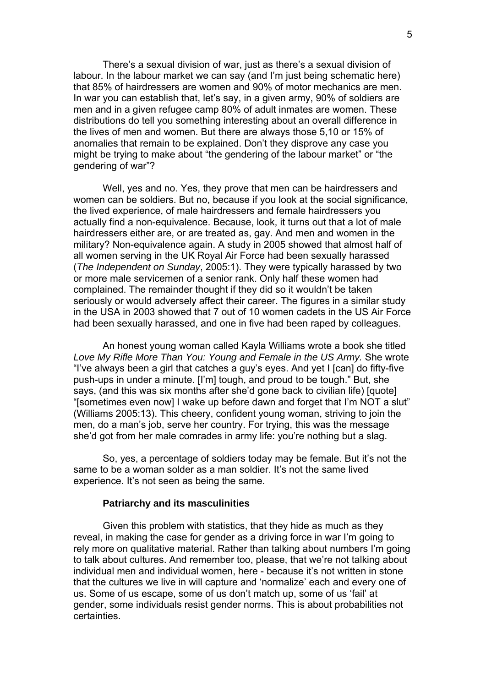There's a sexual division of war, just as there's a sexual division of labour. In the labour market we can say (and I'm just being schematic here) that 85% of hairdressers are women and 90% of motor mechanics are men. In war you can establish that, let's say, in a given army, 90% of soldiers are men and in a given refugee camp 80% of adult inmates are women. These distributions do tell you something interesting about an overall difference in the lives of men and women. But there are always those 5,10 or 15% of anomalies that remain to be explained. Don't they disprove any case you might be trying to make about "the gendering of the labour market" or "the gendering of war"?

Well, yes and no. Yes, they prove that men can be hairdressers and women can be soldiers. But no, because if you look at the social significance, the lived experience, of male hairdressers and female hairdressers you actually find a non-equivalence. Because, look, it turns out that a lot of male hairdressers either are, or are treated as, gay. And men and women in the military? Non-equivalence again. A study in 2005 showed that almost half of all women serving in the UK Royal Air Force had been sexually harassed (*The Independent on Sunday*, 2005:1). They were typically harassed by two or more male servicemen of a senior rank. Only half these women had complained. The remainder thought if they did so it wouldn't be taken seriously or would adversely affect their career. The figures in a similar study in the USA in 2003 showed that 7 out of 10 women cadets in the US Air Force had been sexually harassed, and one in five had been raped by colleagues.

An honest young woman called Kayla Williams wrote a book she titled *Love My Rifle More Than You: Young and Female in the US Army.* She wrote "I've always been a girl that catches a guy's eyes. And yet I [can] do fifty-five push-ups in under a minute. [I'm] tough, and proud to be tough." But, she says, (and this was six months after she'd gone back to civilian life) [quote] "[sometimes even now] I wake up before dawn and forget that I'm NOT a slut" (Williams 2005:13). This cheery, confident young woman, striving to join the men, do a man's job, serve her country. For trying, this was the message she'd got from her male comrades in army life: you're nothing but a slag.

So, yes, a percentage of soldiers today may be female. But it's not the same to be a woman solder as a man soldier. It's not the same lived experience. It's not seen as being the same.

#### **Patriarchy and its masculinities**

Given this problem with statistics, that they hide as much as they reveal, in making the case for gender as a driving force in war I'm going to rely more on qualitative material. Rather than talking about numbers I'm going to talk about cultures. And remember too, please, that we're not talking about individual men and individual women, here - because it's not written in stone that the cultures we live in will capture and 'normalize' each and every one of us. Some of us escape, some of us don't match up, some of us 'fail' at gender, some individuals resist gender norms. This is about probabilities not certainties.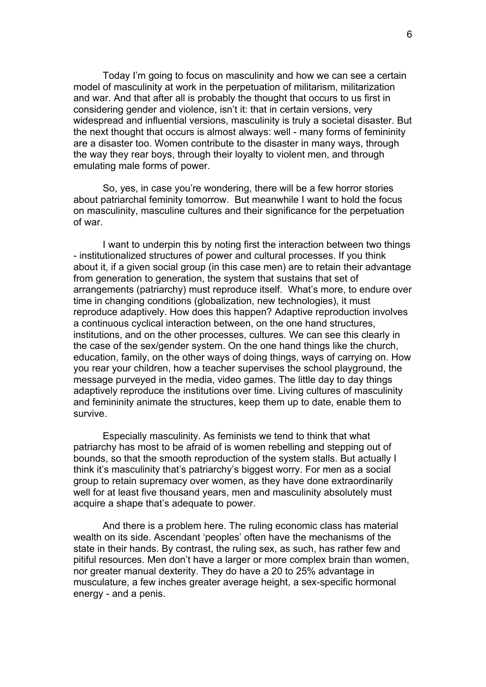Today I'm going to focus on masculinity and how we can see a certain model of masculinity at work in the perpetuation of militarism, militarization and war. And that after all is probably the thought that occurs to us first in considering gender and violence, isn't it: that in certain versions, very widespread and influential versions, masculinity is truly a societal disaster. But the next thought that occurs is almost always: well - many forms of femininity are a disaster too. Women contribute to the disaster in many ways, through the way they rear boys, through their loyalty to violent men, and through emulating male forms of power.

So, yes, in case you're wondering, there will be a few horror stories about patriarchal feminity tomorrow. But meanwhile I want to hold the focus on masculinity, masculine cultures and their significance for the perpetuation of war.

I want to underpin this by noting first the interaction between two things - institutionalized structures of power and cultural processes. If you think about it, if a given social group (in this case men) are to retain their advantage from generation to generation, the system that sustains that set of arrangements (patriarchy) must reproduce itself. What's more, to endure over time in changing conditions (globalization, new technologies), it must reproduce adaptively. How does this happen? Adaptive reproduction involves a continuous cyclical interaction between, on the one hand structures, institutions, and on the other processes, cultures. We can see this clearly in the case of the sex/gender system. On the one hand things like the church, education, family, on the other ways of doing things, ways of carrying on. How you rear your children, how a teacher supervises the school playground, the message purveyed in the media, video games. The little day to day things adaptively reproduce the institutions over time. Living cultures of masculinity and femininity animate the structures, keep them up to date, enable them to survive.

Especially masculinity. As feminists we tend to think that what patriarchy has most to be afraid of is women rebelling and stepping out of bounds, so that the smooth reproduction of the system stalls. But actually I think it's masculinity that's patriarchy's biggest worry. For men as a social group to retain supremacy over women, as they have done extraordinarily well for at least five thousand years, men and masculinity absolutely must acquire a shape that's adequate to power.

And there is a problem here. The ruling economic class has material wealth on its side. Ascendant 'peoples' often have the mechanisms of the state in their hands. By contrast, the ruling sex, as such, has rather few and pitiful resources. Men don't have a larger or more complex brain than women, nor greater manual dexterity. They do have a 20 to 25% advantage in musculature, a few inches greater average height, a sex-specific hormonal energy - and a penis.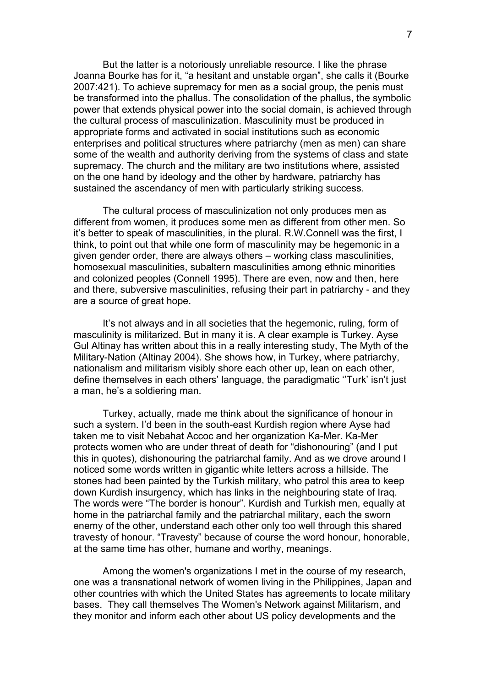But the latter is a notoriously unreliable resource. I like the phrase Joanna Bourke has for it, "a hesitant and unstable organ", she calls it (Bourke 2007:421). To achieve supremacy for men as a social group, the penis must be transformed into the phallus. The consolidation of the phallus, the symbolic power that extends physical power into the social domain, is achieved through the cultural process of masculinization. Masculinity must be produced in appropriate forms and activated in social institutions such as economic enterprises and political structures where patriarchy (men as men) can share some of the wealth and authority deriving from the systems of class and state supremacy. The church and the military are two institutions where, assisted on the one hand by ideology and the other by hardware, patriarchy has sustained the ascendancy of men with particularly striking success.

The cultural process of masculinization not only produces men as different from women, it produces some men as different from other men. So it's better to speak of masculinities, in the plural. R.W.Connell was the first, I think, to point out that while one form of masculinity may be hegemonic in a given gender order, there are always others – working class masculinities, homosexual masculinities, subaltern masculinities among ethnic minorities and colonized peoples (Connell 1995). There are even, now and then, here and there, subversive masculinities, refusing their part in patriarchy - and they are a source of great hope.

It's not always and in all societies that the hegemonic, ruling, form of masculinity is militarized. But in many it is. A clear example is Turkey. Ayse Gul Altinay has written about this in a really interesting study, The Myth of the Military-Nation (Altinay 2004). She shows how, in Turkey, where patriarchy, nationalism and militarism visibly shore each other up, lean on each other, define themselves in each others' language, the paradigmatic ''Turk' isn't just a man, he's a soldiering man.

Turkey, actually, made me think about the significance of honour in such a system. I'd been in the south-east Kurdish region where Ayse had taken me to visit Nebahat Accoc and her organization Ka-Mer. Ka-Mer protects women who are under threat of death for "dishonouring" (and I put this in quotes), dishonouring the patriarchal family. And as we drove around I noticed some words written in gigantic white letters across a hillside. The stones had been painted by the Turkish military, who patrol this area to keep down Kurdish insurgency, which has links in the neighbouring state of Iraq. The words were "The border is honour". Kurdish and Turkish men, equally at home in the patriarchal family and the patriarchal military, each the sworn enemy of the other, understand each other only too well through this shared travesty of honour. "Travesty" because of course the word honour, honorable, at the same time has other, humane and worthy, meanings.

Among the women's organizations I met in the course of my research, one was a transnational network of women living in the Philippines, Japan and other countries with which the United States has agreements to locate military bases. They call themselves The Women's Network against Militarism, and they monitor and inform each other about US policy developments and the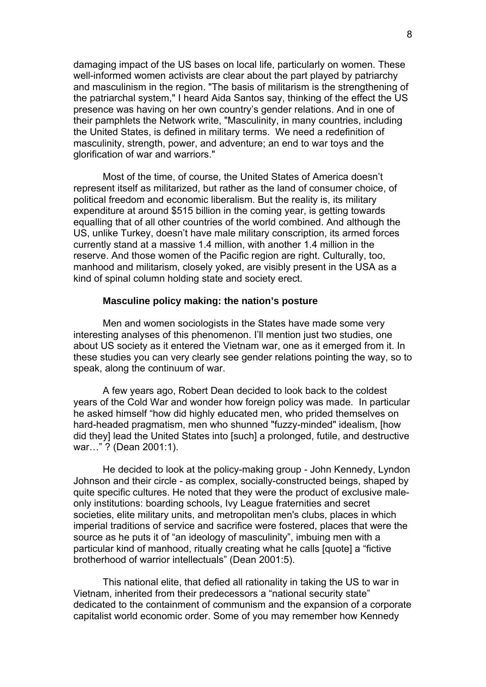damaging impact of the US bases on local life, particularly on women. These well-informed women activists are clear about the part played by patriarchy and masculinism in the region. "The basis of militarism is the strengthening of the patriarchal system," I heard Aida Santos say, thinking of the effect the US presence was having on her own country's gender relations. And in one of their pamphlets the Network write, "Masculinity, in many countries, including the United States, is defined in military terms. We need a redefinition of masculinity, strength, power, and adventure; an end to war toys and the glorification of war and warriors."

Most of the time, of course, the United States of America doesn't represent itself as militarized, but rather as the land of consumer choice, of political freedom and economic liberalism. But the reality is, its military expenditure at around \$515 billion in the coming year, is getting towards equalling that of all other countries of the world combined. And although the US, unlike Turkey, doesn't have male military conscription, its armed forces currently stand at a massive 1.4 million, with another 1.4 million in the reserve. And those women of the Pacific region are right. Culturally, too, manhood and militarism, closely yoked, are visibly present in the USA as a kind of spinal column holding state and society erect.

#### **Masculine policy making: the nation's posture**

Men and women sociologists in the States have made some very interesting analyses of this phenomenon. I'll mention just two studies, one about US society as it entered the Vietnam war, one as it emerged from it. In these studies you can very clearly see gender relations pointing the way, so to speak, along the continuum of war.

A few years ago, Robert Dean decided to look back to the coldest years of the Cold War and wonder how foreign policy was made. In particular he asked himself "how did highly educated men, who prided themselves on hard-headed pragmatism, men who shunned "fuzzy-minded" idealism, [how did they] lead the United States into [such] a prolonged, futile, and destructive war…" ? (Dean 2001:1).

He decided to look at the policy-making group - John Kennedy, Lyndon Johnson and their circle - as complex, socially-constructed beings, shaped by quite specific cultures. He noted that they were the product of exclusive maleonly institutions: boarding schools, Ivy League fraternities and secret societies, elite military units, and metropolitan men's clubs, places in which imperial traditions of service and sacrifice were fostered, places that were the source as he puts it of "an ideology of masculinity", imbuing men with a particular kind of manhood, ritually creating what he calls [quote] a "fictive brotherhood of warrior intellectuals" (Dean 2001:5).

This national elite, that defied all rationality in taking the US to war in Vietnam, inherited from their predecessors a "national security state" dedicated to the containment of communism and the expansion of a corporate capitalist world economic order. Some of you may remember how Kennedy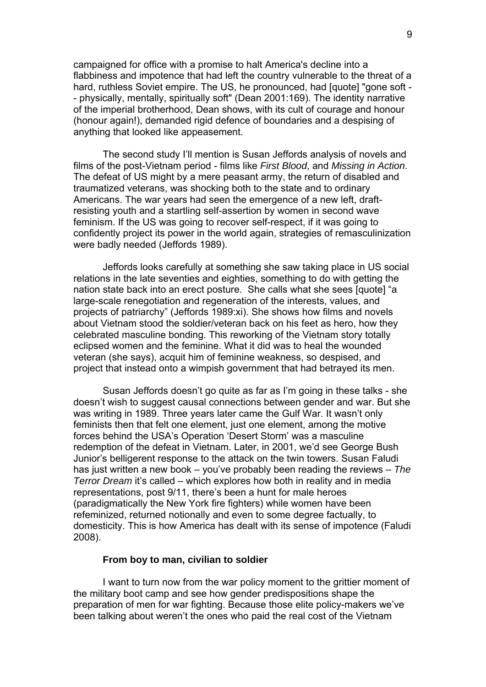campaigned for office with a promise to halt America's decline into a flabbiness and impotence that had left the country vulnerable to the threat of a hard, ruthless Soviet empire. The US, he pronounced, had [quote] "gone soft - - physically, mentally, spiritually soft" (Dean 2001:169). The identity narrative of the imperial brotherhood, Dean shows, with its cult of courage and honour (honour again!), demanded rigid defence of boundaries and a despising of anything that looked like appeasement.

The second study I'll mention is Susan Jeffords analysis of novels and films of the post-Vietnam period - films like *First Blood*, and *Missing in Action*. The defeat of US might by a mere peasant army, the return of disabled and traumatized veterans, was shocking both to the state and to ordinary Americans. The war years had seen the emergence of a new left, draftresisting youth and a startling self-assertion by women in second wave feminism. If the US was going to recover self-respect, if it was going to confidently project its power in the world again, strategies of remasculinization were badly needed (Jeffords 1989).

Jeffords looks carefully at something she saw taking place in US social relations in the late seventies and eighties, something to do with getting the nation state back into an erect posture. She calls what she sees [quote] "a large-scale renegotiation and regeneration of the interests, values, and projects of patriarchy" (Jeffords 1989:xi). She shows how films and novels about Vietnam stood the soldier/veteran back on his feet as hero, how they celebrated masculine bonding. This reworking of the Vietnam story totally eclipsed women and the feminine. What it did was to heal the wounded veteran (she says), acquit him of feminine weakness, so despised, and project that instead onto a wimpish government that had betrayed its men.

Susan Jeffords doesn't go quite as far as I'm going in these talks - she doesn't wish to suggest causal connections between gender and war. But she was writing in 1989. Three years later came the Gulf War. It wasn't only feminists then that felt one element, just one element, among the motive forces behind the USA's Operation 'Desert Storm' was a masculine redemption of the defeat in Vietnam. Later, in 2001, we'd see George Bush Junior's belligerent response to the attack on the twin towers. Susan Faludi has just written a new book – you've probably been reading the reviews – *The Terror Dream* it's called – which explores how both in reality and in media representations, post 9/11, there's been a hunt for male heroes (paradigmatically the New York fire fighters) while women have been refeminized, returned notionally and even to some degree factually, to domesticity. This is how America has dealt with its sense of impotence (Faludi 2008).

#### **From boy to man, civilian to soldier**

I want to turn now from the war policy moment to the grittier moment of the military boot camp and see how gender predispositions shape the preparation of men for war fighting. Because those elite policy-makers we've been talking about weren't the ones who paid the real cost of the Vietnam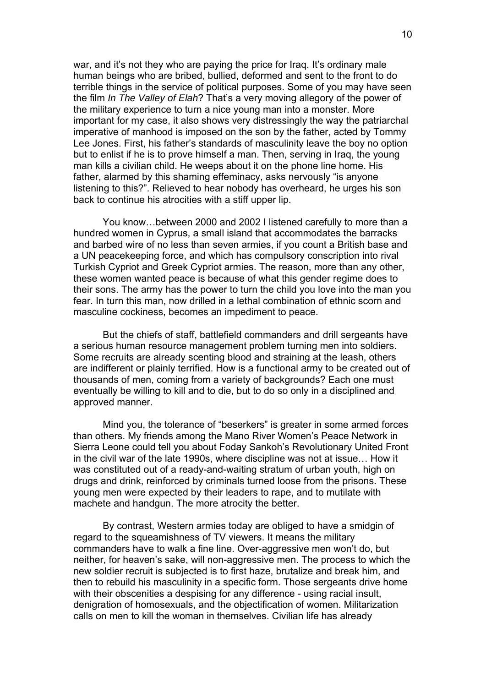war, and it's not they who are paying the price for Irag. It's ordinary male human beings who are bribed, bullied, deformed and sent to the front to do terrible things in the service of political purposes. Some of you may have seen the film *In The Valley of Elah*? That's a very moving allegory of the power of the military experience to turn a nice young man into a monster. More important for my case, it also shows very distressingly the way the patriarchal imperative of manhood is imposed on the son by the father, acted by Tommy Lee Jones. First, his father's standards of masculinity leave the boy no option but to enlist if he is to prove himself a man. Then, serving in Iraq, the young man kills a civilian child. He weeps about it on the phone line home. His father, alarmed by this shaming effeminacy, asks nervously "is anyone listening to this?". Relieved to hear nobody has overheard, he urges his son back to continue his atrocities with a stiff upper lip.

You know…between 2000 and 2002 I listened carefully to more than a hundred women in Cyprus, a small island that accommodates the barracks and barbed wire of no less than seven armies, if you count a British base and a UN peacekeeping force, and which has compulsory conscription into rival Turkish Cypriot and Greek Cypriot armies. The reason, more than any other, these women wanted peace is because of what this gender regime does to their sons. The army has the power to turn the child you love into the man you fear. In turn this man, now drilled in a lethal combination of ethnic scorn and masculine cockiness, becomes an impediment to peace.

But the chiefs of staff, battlefield commanders and drill sergeants have a serious human resource management problem turning men into soldiers. Some recruits are already scenting blood and straining at the leash, others are indifferent or plainly terrified. How is a functional army to be created out of thousands of men, coming from a variety of backgrounds? Each one must eventually be willing to kill and to die, but to do so only in a disciplined and approved manner.

Mind you, the tolerance of "beserkers" is greater in some armed forces than others. My friends among the Mano River Women's Peace Network in Sierra Leone could tell you about Foday Sankoh's Revolutionary United Front in the civil war of the late 1990s, where discipline was not at issue… How it was constituted out of a ready-and-waiting stratum of urban youth, high on drugs and drink, reinforced by criminals turned loose from the prisons. These young men were expected by their leaders to rape, and to mutilate with machete and handgun. The more atrocity the better.

By contrast, Western armies today are obliged to have a smidgin of regard to the squeamishness of TV viewers. It means the military commanders have to walk a fine line. Over-aggressive men won't do, but neither, for heaven's sake, will non-aggressive men. The process to which the new soldier recruit is subjected is to first haze, brutalize and break him, and then to rebuild his masculinity in a specific form. Those sergeants drive home with their obscenities a despising for any difference - using racial insult, denigration of homosexuals, and the objectification of women. Militarization calls on men to kill the woman in themselves. Civilian life has already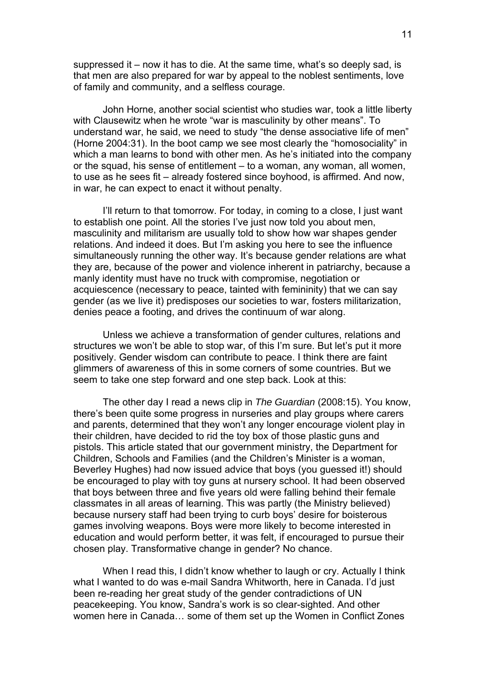suppressed it – now it has to die. At the same time, what's so deeply sad, is that men are also prepared for war by appeal to the noblest sentiments, love of family and community, and a selfless courage.

John Horne, another social scientist who studies war, took a little liberty with Clausewitz when he wrote "war is masculinity by other means". To understand war, he said, we need to study "the dense associative life of men" (Horne 2004:31). In the boot camp we see most clearly the "homosociality" in which a man learns to bond with other men. As he's initiated into the company or the squad, his sense of entitlement – to a woman, any woman, all women, to use as he sees fit – already fostered since boyhood, is affirmed. And now, in war, he can expect to enact it without penalty.

I'll return to that tomorrow. For today, in coming to a close, I just want to establish one point. All the stories I've just now told you about men, masculinity and militarism are usually told to show how war shapes gender relations. And indeed it does. But I'm asking you here to see the influence simultaneously running the other way. It's because gender relations are what they are, because of the power and violence inherent in patriarchy, because a manly identity must have no truck with compromise, negotiation or acquiescence (necessary to peace, tainted with femininity) that we can say gender (as we live it) predisposes our societies to war, fosters militarization, denies peace a footing, and drives the continuum of war along.

Unless we achieve a transformation of gender cultures, relations and structures we won't be able to stop war, of this I'm sure. But let's put it more positively. Gender wisdom can contribute to peace. I think there are faint glimmers of awareness of this in some corners of some countries. But we seem to take one step forward and one step back. Look at this:

The other day I read a news clip in *The Guardian* (2008:15). You know, there's been quite some progress in nurseries and play groups where carers and parents, determined that they won't any longer encourage violent play in their children, have decided to rid the toy box of those plastic guns and pistols. This article stated that our government ministry, the Department for Children, Schools and Families (and the Children's Minister is a woman, Beverley Hughes) had now issued advice that boys (you guessed it!) should be encouraged to play with toy guns at nursery school. It had been observed that boys between three and five years old were falling behind their female classmates in all areas of learning. This was partly (the Ministry believed) because nursery staff had been trying to curb boys' desire for boisterous games involving weapons. Boys were more likely to become interested in education and would perform better, it was felt, if encouraged to pursue their chosen play. Transformative change in gender? No chance.

When I read this, I didn't know whether to laugh or cry. Actually I think what I wanted to do was e-mail Sandra Whitworth, here in Canada. I'd just been re-reading her great study of the gender contradictions of UN peacekeeping. You know, Sandra's work is so clear-sighted. And other women here in Canada… some of them set up the Women in Conflict Zones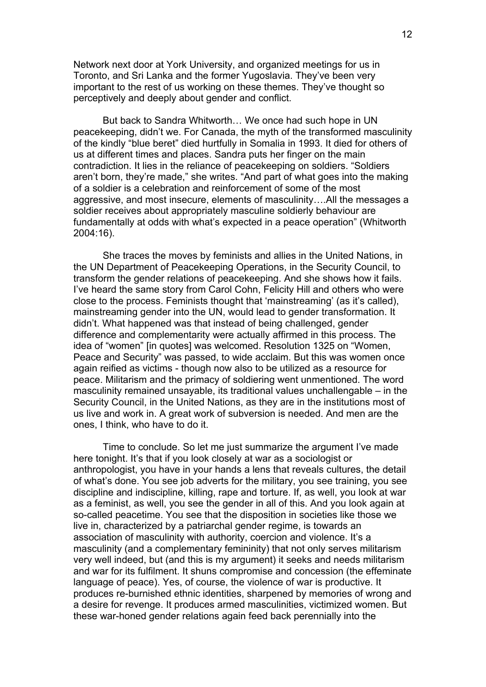Network next door at York University, and organized meetings for us in Toronto, and Sri Lanka and the former Yugoslavia. They've been very important to the rest of us working on these themes. They've thought so perceptively and deeply about gender and conflict.

But back to Sandra Whitworth… We once had such hope in UN peacekeeping, didn't we. For Canada, the myth of the transformed masculinity of the kindly "blue beret" died hurtfully in Somalia in 1993. It died for others of us at different times and places. Sandra puts her finger on the main contradiction. It lies in the reliance of peacekeeping on soldiers. "Soldiers aren't born, they're made," she writes. "And part of what goes into the making of a soldier is a celebration and reinforcement of some of the most aggressive, and most insecure, elements of masculinity….All the messages a soldier receives about appropriately masculine soldierly behaviour are fundamentally at odds with what's expected in a peace operation" (Whitworth 2004:16).

She traces the moves by feminists and allies in the United Nations, in the UN Department of Peacekeeping Operations, in the Security Council, to transform the gender relations of peacekeeping. And she shows how it fails. I've heard the same story from Carol Cohn, Felicity Hill and others who were close to the process. Feminists thought that 'mainstreaming' (as it's called), mainstreaming gender into the UN, would lead to gender transformation. It didn't. What happened was that instead of being challenged, gender difference and complementarity were actually affirmed in this process. The idea of "women" [in quotes] was welcomed. Resolution 1325 on "Women, Peace and Security" was passed, to wide acclaim. But this was women once again reified as victims - though now also to be utilized as a resource for peace. Militarism and the primacy of soldiering went unmentioned. The word masculinity remained unsayable, its traditional values unchallengable – in the Security Council, in the United Nations, as they are in the institutions most of us live and work in. A great work of subversion is needed. And men are the ones, I think, who have to do it.

Time to conclude. So let me just summarize the argument I've made here tonight. It's that if you look closely at war as a sociologist or anthropologist, you have in your hands a lens that reveals cultures, the detail of what's done. You see job adverts for the military, you see training, you see discipline and indiscipline, killing, rape and torture. If, as well, you look at war as a feminist, as well, you see the gender in all of this. And you look again at so-called peacetime. You see that the disposition in societies like those we live in, characterized by a patriarchal gender regime, is towards an association of masculinity with authority, coercion and violence. It's a masculinity (and a complementary femininity) that not only serves militarism very well indeed, but (and this is my argument) it seeks and needs militarism and war for its fulfilment. It shuns compromise and concession (the effeminate language of peace). Yes, of course, the violence of war is productive. It produces re-burnished ethnic identities, sharpened by memories of wrong and a desire for revenge. It produces armed masculinities, victimized women. But these war-honed gender relations again feed back perennially into the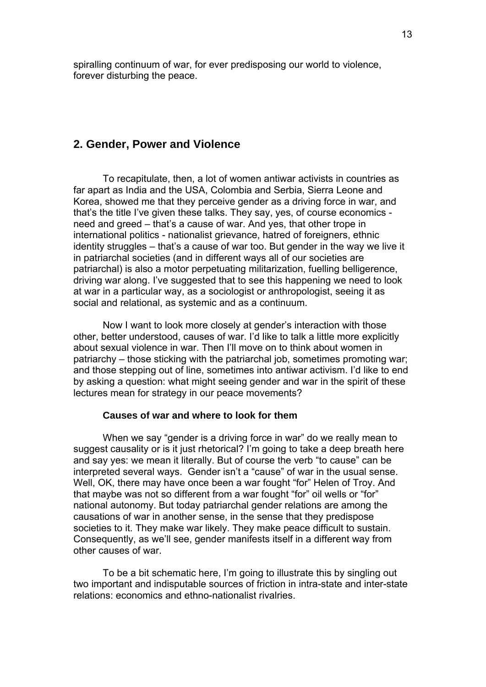spiralling continuum of war, for ever predisposing our world to violence, forever disturbing the peace.

# **2. Gender, Power and Violence**

To recapitulate, then, a lot of women antiwar activists in countries as far apart as India and the USA, Colombia and Serbia, Sierra Leone and Korea, showed me that they perceive gender as a driving force in war, and that's the title I've given these talks. They say, yes, of course economics need and greed – that's a cause of war. And yes, that other trope in international politics - nationalist grievance, hatred of foreigners, ethnic identity struggles – that's a cause of war too. But gender in the way we live it in patriarchal societies (and in different ways all of our societies are patriarchal) is also a motor perpetuating militarization, fuelling belligerence, driving war along. I've suggested that to see this happening we need to look at war in a particular way, as a sociologist or anthropologist, seeing it as social and relational, as systemic and as a continuum.

Now I want to look more closely at gender's interaction with those other, better understood, causes of war. I'd like to talk a little more explicitly about sexual violence in war. Then I'll move on to think about women in patriarchy – those sticking with the patriarchal job, sometimes promoting war; and those stepping out of line, sometimes into antiwar activism. I'd like to end by asking a question: what might seeing gender and war in the spirit of these lectures mean for strategy in our peace movements?

### **Causes of war and where to look for them**

When we say "gender is a driving force in war" do we really mean to suggest causality or is it just rhetorical? I'm going to take a deep breath here and say yes: we mean it literally. But of course the verb "to cause" can be interpreted several ways. Gender isn't a "cause" of war in the usual sense. Well, OK, there may have once been a war fought "for" Helen of Troy. And that maybe was not so different from a war fought "for" oil wells or "for" national autonomy. But today patriarchal gender relations are among the causations of war in another sense, in the sense that they predispose societies to it. They make war likely. They make peace difficult to sustain. Consequently, as we'll see, gender manifests itself in a different way from other causes of war.

To be a bit schematic here, I'm going to illustrate this by singling out two important and indisputable sources of friction in intra-state and inter-state relations: economics and ethno-nationalist rivalries.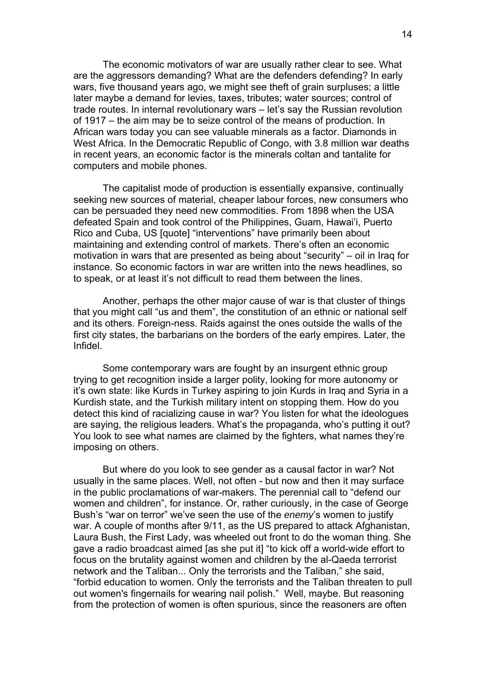The economic motivators of war are usually rather clear to see. What are the aggressors demanding? What are the defenders defending? In early wars, five thousand years ago, we might see theft of grain surpluses; a little later maybe a demand for levies, taxes, tributes; water sources; control of trade routes. In internal revolutionary wars – let's say the Russian revolution of 1917 – the aim may be to seize control of the means of production. In African wars today you can see valuable minerals as a factor. Diamonds in West Africa. In the Democratic Republic of Congo, with 3.8 million war deaths in recent years, an economic factor is the minerals coltan and tantalite for computers and mobile phones.

The capitalist mode of production is essentially expansive, continually seeking new sources of material, cheaper labour forces, new consumers who can be persuaded they need new commodities. From 1898 when the USA defeated Spain and took control of the Philippines, Guam, Hawai'i, Puerto Rico and Cuba, US [quote] "interventions" have primarily been about maintaining and extending control of markets. There's often an economic motivation in wars that are presented as being about "security" – oil in Iraq for instance. So economic factors in war are written into the news headlines, so to speak, or at least it's not difficult to read them between the lines.

Another, perhaps the other major cause of war is that cluster of things that you might call "us and them", the constitution of an ethnic or national self and its others. Foreign-ness. Raids against the ones outside the walls of the first city states, the barbarians on the borders of the early empires. Later, the Infidel.

Some contemporary wars are fought by an insurgent ethnic group trying to get recognition inside a larger polity, looking for more autonomy or it's own state: like Kurds in Turkey aspiring to join Kurds in Iraq and Syria in a Kurdish state, and the Turkish military intent on stopping them. How do you detect this kind of racializing cause in war? You listen for what the ideologues are saying, the religious leaders. What's the propaganda, who's putting it out? You look to see what names are claimed by the fighters, what names they're imposing on others.

But where do you look to see gender as a causal factor in war? Not usually in the same places. Well, not often - but now and then it may surface in the public proclamations of war-makers. The perennial call to "defend our women and children", for instance. Or, rather curiously, in the case of George Bush's "war on terror" we've seen the use of the *enemy*'s women to justify war. A couple of months after 9/11, as the US prepared to attack Afghanistan, Laura Bush, the First Lady, was wheeled out front to do the woman thing. She gave a radio broadcast aimed [as she put it] "to kick off a world-wide effort to focus on the brutality against women and children by the al-Qaeda terrorist network and the Taliban... Only the terrorists and the Taliban," she said, "forbid education to women. Only the terrorists and the Taliban threaten to pull out women's fingernails for wearing nail polish." Well, maybe. But reasoning from the protection of women is often spurious, since the reasoners are often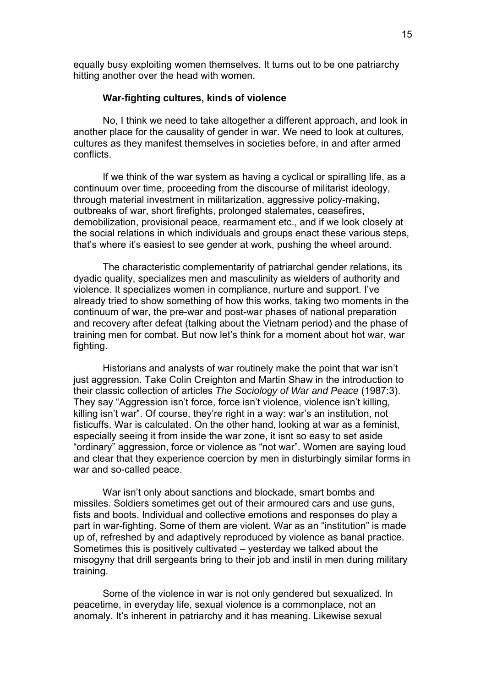equally busy exploiting women themselves. It turns out to be one patriarchy hitting another over the head with women.

#### **War-fighting cultures, kinds of violence**

No, I think we need to take altogether a different approach, and look in another place for the causality of gender in war. We need to look at cultures, cultures as they manifest themselves in societies before, in and after armed conflicts.

If we think of the war system as having a cyclical or spiralling life, as a continuum over time, proceeding from the discourse of militarist ideology, through material investment in militarization, aggressive policy-making, outbreaks of war, short firefights, prolonged stalemates, ceasefires, demobilization, provisional peace, rearmament etc., and if we look closely at the social relations in which individuals and groups enact these various steps, that's where it's easiest to see gender at work, pushing the wheel around.

The characteristic complementarity of patriarchal gender relations, its dyadic quality, specializes men and masculinity as wielders of authority and violence. It specializes women in compliance, nurture and support. I've already tried to show something of how this works, taking two moments in the continuum of war, the pre-war and post-war phases of national preparation and recovery after defeat (talking about the Vietnam period) and the phase of training men for combat. But now let's think for a moment about hot war, war fighting.

Historians and analysts of war routinely make the point that war isn't just aggression. Take Colin Creighton and Martin Shaw in the introduction to their classic collection of articles *The Sociology of War and Peace* (1987:3). They say "Aggression isn't force, force isn't violence, violence isn't killing, killing isn't war". Of course, they're right in a way: war's an institution, not fisticuffs. War is calculated. On the other hand, looking at war as a feminist, especially seeing it from inside the war zone, it isnt so easy to set aside "ordinary" aggression, force or violence as "not war". Women are saying loud and clear that they experience coercion by men in disturbingly similar forms in war and so-called peace.

War isn't only about sanctions and blockade, smart bombs and missiles. Soldiers sometimes get out of their armoured cars and use guns, fists and boots. Individual and collective emotions and responses do play a part in war-fighting. Some of them are violent. War as an "institution" is made up of, refreshed by and adaptively reproduced by violence as banal practice. Sometimes this is positively cultivated – yesterday we talked about the misogyny that drill sergeants bring to their job and instil in men during military training.

Some of the violence in war is not only gendered but sexualized. In peacetime, in everyday life, sexual violence is a commonplace, not an anomaly. It's inherent in patriarchy and it has meaning. Likewise sexual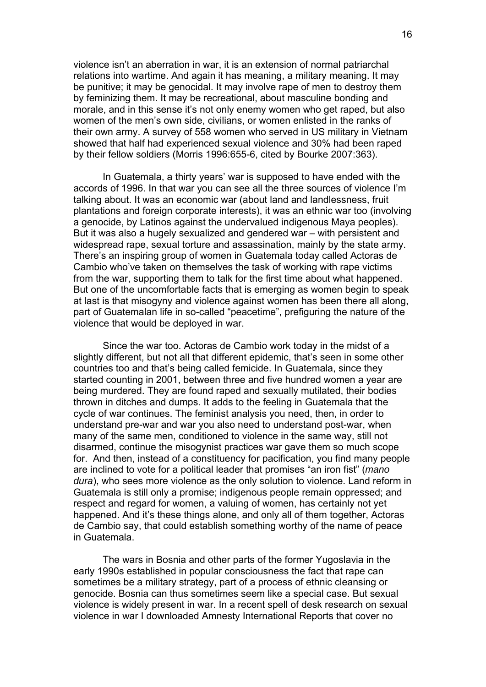violence isn't an aberration in war, it is an extension of normal patriarchal relations into wartime. And again it has meaning, a military meaning. It may be punitive; it may be genocidal. It may involve rape of men to destroy them by feminizing them. It may be recreational, about masculine bonding and morale, and in this sense it's not only enemy women who get raped, but also women of the men's own side, civilians, or women enlisted in the ranks of their own army. A survey of 558 women who served in US military in Vietnam showed that half had experienced sexual violence and 30% had been raped by their fellow soldiers (Morris 1996:655-6, cited by Bourke 2007:363).

In Guatemala, a thirty years' war is supposed to have ended with the accords of 1996. In that war you can see all the three sources of violence I'm talking about. It was an economic war (about land and landlessness, fruit plantations and foreign corporate interests), it was an ethnic war too (involving a genocide, by Latinos against the undervalued indigenous Maya peoples). But it was also a hugely sexualized and gendered war – with persistent and widespread rape, sexual torture and assassination, mainly by the state army. There's an inspiring group of women in Guatemala today called Actoras de Cambio who've taken on themselves the task of working with rape victims from the war, supporting them to talk for the first time about what happened. But one of the uncomfortable facts that is emerging as women begin to speak at last is that misogyny and violence against women has been there all along, part of Guatemalan life in so-called "peacetime", prefiguring the nature of the violence that would be deployed in war.

Since the war too. Actoras de Cambio work today in the midst of a slightly different, but not all that different epidemic, that's seen in some other countries too and that's being called femicide. In Guatemala, since they started counting in 2001, between three and five hundred women a year are being murdered. They are found raped and sexually mutilated, their bodies thrown in ditches and dumps. It adds to the feeling in Guatemala that the cycle of war continues. The feminist analysis you need, then, in order to understand pre-war and war you also need to understand post-war, when many of the same men, conditioned to violence in the same way, still not disarmed, continue the misogynist practices war gave them so much scope for. And then, instead of a constituency for pacification, you find many people are inclined to vote for a political leader that promises "an iron fist" (*mano dura*), who sees more violence as the only solution to violence. Land reform in Guatemala is still only a promise; indigenous people remain oppressed; and respect and regard for women, a valuing of women, has certainly not yet happened. And it's these things alone, and only all of them together, Actoras de Cambio say, that could establish something worthy of the name of peace in Guatemala.

The wars in Bosnia and other parts of the former Yugoslavia in the early 1990s established in popular consciousness the fact that rape can sometimes be a military strategy, part of a process of ethnic cleansing or genocide. Bosnia can thus sometimes seem like a special case. But sexual violence is widely present in war. In a recent spell of desk research on sexual violence in war I downloaded Amnesty International Reports that cover no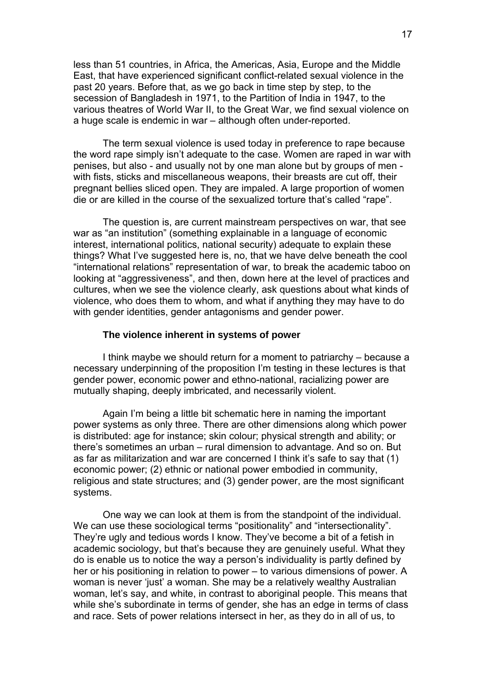less than 51 countries, in Africa, the Americas, Asia, Europe and the Middle East, that have experienced significant conflict-related sexual violence in the past 20 years. Before that, as we go back in time step by step, to the secession of Bangladesh in 1971, to the Partition of India in 1947, to the various theatres of World War II, to the Great War, we find sexual violence on a huge scale is endemic in war – although often under-reported.

The term sexual violence is used today in preference to rape because the word rape simply isn't adequate to the case. Women are raped in war with penises, but also - and usually not by one man alone but by groups of men with fists, sticks and miscellaneous weapons, their breasts are cut off, their pregnant bellies sliced open. They are impaled. A large proportion of women die or are killed in the course of the sexualized torture that's called "rape".

The question is, are current mainstream perspectives on war, that see war as "an institution" (something explainable in a language of economic interest, international politics, national security) adequate to explain these things? What I've suggested here is, no, that we have delve beneath the cool "international relations" representation of war, to break the academic taboo on looking at "aggressiveness", and then, down here at the level of practices and cultures, when we see the violence clearly, ask questions about what kinds of violence, who does them to whom, and what if anything they may have to do with gender identities, gender antagonisms and gender power.

#### **The violence inherent in systems of power**

I think maybe we should return for a moment to patriarchy – because a necessary underpinning of the proposition I'm testing in these lectures is that gender power, economic power and ethno-national, racializing power are mutually shaping, deeply imbricated, and necessarily violent.

Again I'm being a little bit schematic here in naming the important power systems as only three. There are other dimensions along which power is distributed: age for instance; skin colour; physical strength and ability; or there's sometimes an urban – rural dimension to advantage. And so on. But as far as militarization and war are concerned I think it's safe to say that (1) economic power; (2) ethnic or national power embodied in community, religious and state structures; and (3) gender power, are the most significant systems.

One way we can look at them is from the standpoint of the individual. We can use these sociological terms "positionality" and "intersectionality". They're ugly and tedious words I know. They've become a bit of a fetish in academic sociology, but that's because they are genuinely useful. What they do is enable us to notice the way a person's individuality is partly defined by her or his positioning in relation to power – to various dimensions of power. A woman is never 'just' a woman. She may be a relatively wealthy Australian woman, let's say, and white, in contrast to aboriginal people. This means that while she's subordinate in terms of gender, she has an edge in terms of class and race. Sets of power relations intersect in her, as they do in all of us, to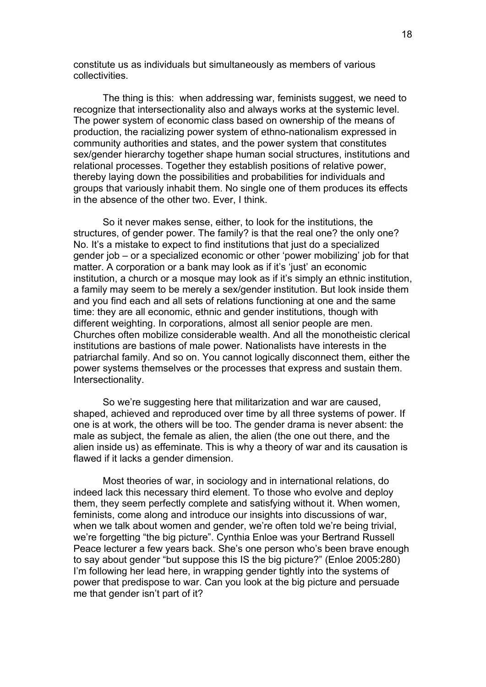constitute us as individuals but simultaneously as members of various collectivities.

The thing is this: when addressing war, feminists suggest, we need to recognize that intersectionality also and always works at the systemic level. The power system of economic class based on ownership of the means of production, the racializing power system of ethno-nationalism expressed in community authorities and states, and the power system that constitutes sex/gender hierarchy together shape human social structures, institutions and relational processes. Together they establish positions of relative power, thereby laying down the possibilities and probabilities for individuals and groups that variously inhabit them. No single one of them produces its effects in the absence of the other two. Ever, I think.

So it never makes sense, either, to look for the institutions, the structures, of gender power. The family? is that the real one? the only one? No. It's a mistake to expect to find institutions that just do a specialized gender job – or a specialized economic or other 'power mobilizing' job for that matter. A corporation or a bank may look as if it's 'just' an economic institution, a church or a mosque may look as if it's simply an ethnic institution, a family may seem to be merely a sex/gender institution. But look inside them and you find each and all sets of relations functioning at one and the same time: they are all economic, ethnic and gender institutions, though with different weighting. In corporations, almost all senior people are men. Churches often mobilize considerable wealth. And all the monotheistic clerical institutions are bastions of male power. Nationalists have interests in the patriarchal family. And so on. You cannot logically disconnect them, either the power systems themselves or the processes that express and sustain them. Intersectionality.

So we're suggesting here that militarization and war are caused, shaped, achieved and reproduced over time by all three systems of power. If one is at work, the others will be too. The gender drama is never absent: the male as subject, the female as alien, the alien (the one out there, and the alien inside us) as effeminate. This is why a theory of war and its causation is flawed if it lacks a gender dimension.

Most theories of war, in sociology and in international relations, do indeed lack this necessary third element. To those who evolve and deploy them, they seem perfectly complete and satisfying without it. When women, feminists, come along and introduce our insights into discussions of war, when we talk about women and gender, we're often told we're being trivial, we're forgetting "the big picture". Cynthia Enloe was your Bertrand Russell Peace lecturer a few years back. She's one person who's been brave enough to say about gender "but suppose this IS the big picture?" (Enloe 2005:280) I'm following her lead here, in wrapping gender tightly into the systems of power that predispose to war. Can you look at the big picture and persuade me that gender isn't part of it?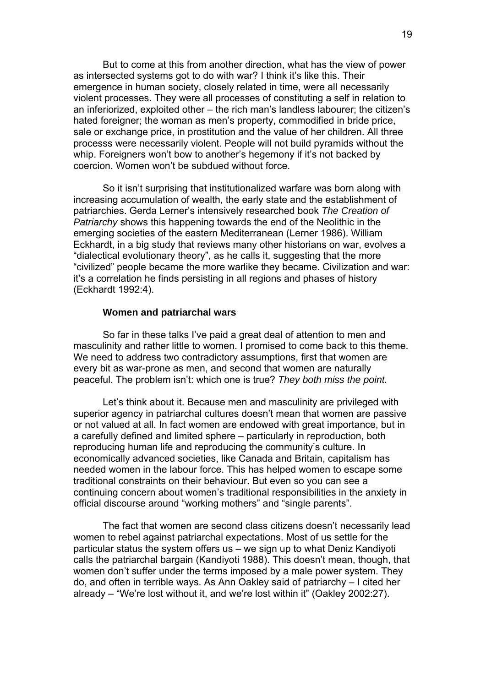But to come at this from another direction, what has the view of power as intersected systems got to do with war? I think it's like this. Their emergence in human society, closely related in time, were all necessarily violent processes. They were all processes of constituting a self in relation to an inferiorized, exploited other – the rich man's landless labourer; the citizen's hated foreigner; the woman as men's property, commodified in bride price, sale or exchange price, in prostitution and the value of her children. All three processs were necessarily violent. People will not build pyramids without the whip. Foreigners won't bow to another's hegemony if it's not backed by coercion. Women won't be subdued without force.

So it isn't surprising that institutionalized warfare was born along with increasing accumulation of wealth, the early state and the establishment of patriarchies. Gerda Lerner's intensively researched book *The Creation of Patriarchy* shows this happening towards the end of the Neolithic in the emerging societies of the eastern Mediterranean (Lerner 1986). William Eckhardt, in a big study that reviews many other historians on war, evolves a "dialectical evolutionary theory", as he calls it, suggesting that the more "civilized" people became the more warlike they became. Civilization and war: it's a correlation he finds persisting in all regions and phases of history (Eckhardt 1992:4).

#### **Women and patriarchal wars**

So far in these talks I've paid a great deal of attention to men and masculinity and rather little to women. I promised to come back to this theme. We need to address two contradictory assumptions, first that women are every bit as war-prone as men, and second that women are naturally peaceful. The problem isn't: which one is true? *They both miss the point.* 

Let's think about it. Because men and masculinity are privileged with superior agency in patriarchal cultures doesn't mean that women are passive or not valued at all. In fact women are endowed with great importance, but in a carefully defined and limited sphere – particularly in reproduction, both reproducing human life and reproducing the community's culture. In economically advanced societies, like Canada and Britain, capitalism has needed women in the labour force. This has helped women to escape some traditional constraints on their behaviour. But even so you can see a continuing concern about women's traditional responsibilities in the anxiety in official discourse around "working mothers" and "single parents".

The fact that women are second class citizens doesn't necessarily lead women to rebel against patriarchal expectations. Most of us settle for the particular status the system offers us – we sign up to what Deniz Kandiyoti calls the patriarchal bargain (Kandiyoti 1988). This doesn't mean, though, that women don't suffer under the terms imposed by a male power system. They do, and often in terrible ways. As Ann Oakley said of patriarchy – I cited her already – "We're lost without it, and we're lost within it" (Oakley 2002:27).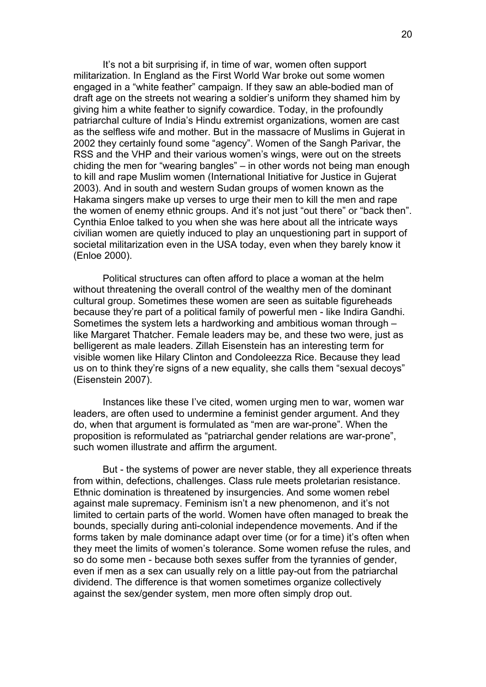It's not a bit surprising if, in time of war, women often support militarization. In England as the First World War broke out some women engaged in a "white feather" campaign. If they saw an able-bodied man of draft age on the streets not wearing a soldier's uniform they shamed him by giving him a white feather to signify cowardice. Today, in the profoundly patriarchal culture of India's Hindu extremist organizations, women are cast as the selfless wife and mother. But in the massacre of Muslims in Gujerat in 2002 they certainly found some "agency". Women of the Sangh Parivar, the RSS and the VHP and their various women's wings, were out on the streets chiding the men for "wearing bangles" – in other words not being man enough to kill and rape Muslim women (International Initiative for Justice in Gujerat 2003). And in south and western Sudan groups of women known as the Hakama singers make up verses to urge their men to kill the men and rape the women of enemy ethnic groups. And it's not just "out there" or "back then". Cynthia Enloe talked to you when she was here about all the intricate ways civilian women are quietly induced to play an unquestioning part in support of societal militarization even in the USA today, even when they barely know it (Enloe 2000).

Political structures can often afford to place a woman at the helm without threatening the overall control of the wealthy men of the dominant cultural group. Sometimes these women are seen as suitable figureheads because they're part of a political family of powerful men - like Indira Gandhi. Sometimes the system lets a hardworking and ambitious woman through – like Margaret Thatcher. Female leaders may be, and these two were, just as belligerent as male leaders. Zillah Eisenstein has an interesting term for visible women like Hilary Clinton and Condoleezza Rice. Because they lead us on to think they're signs of a new equality, she calls them "sexual decoys" (Eisenstein 2007).

Instances like these I've cited, women urging men to war, women war leaders, are often used to undermine a feminist gender argument. And they do, when that argument is formulated as "men are war-prone". When the proposition is reformulated as "patriarchal gender relations are war-prone", such women illustrate and affirm the argument.

But - the systems of power are never stable, they all experience threats from within, defections, challenges. Class rule meets proletarian resistance. Ethnic domination is threatened by insurgencies. And some women rebel against male supremacy. Feminism isn't a new phenomenon, and it's not limited to certain parts of the world. Women have often managed to break the bounds, specially during anti-colonial independence movements. And if the forms taken by male dominance adapt over time (or for a time) it's often when they meet the limits of women's tolerance. Some women refuse the rules, and so do some men - because both sexes suffer from the tyrannies of gender, even if men as a sex can usually rely on a little pay-out from the patriarchal dividend. The difference is that women sometimes organize collectively against the sex/gender system, men more often simply drop out.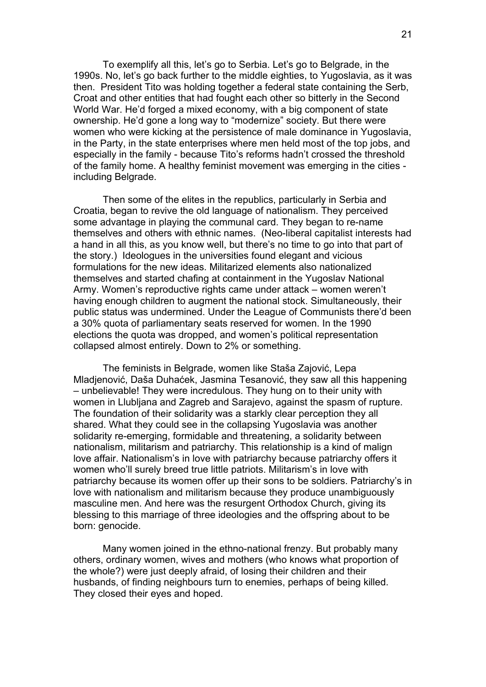To exemplify all this, let's go to Serbia. Let's go to Belgrade, in the 1990s. No, let's go back further to the middle eighties, to Yugoslavia, as it was then. President Tito was holding together a federal state containing the Serb, Croat and other entities that had fought each other so bitterly in the Second World War. He'd forged a mixed economy, with a big component of state ownership. He'd gone a long way to "modernize" society. But there were women who were kicking at the persistence of male dominance in Yugoslavia, in the Party, in the state enterprises where men held most of the top jobs, and especially in the family - because Tito's reforms hadn't crossed the threshold of the family home. A healthy feminist movement was emerging in the cities including Belgrade.

Then some of the elites in the republics, particularly in Serbia and Croatia, began to revive the old language of nationalism. They perceived some advantage in playing the communal card. They began to re-name themselves and others with ethnic names. (Neo-liberal capitalist interests had a hand in all this, as you know well, but there's no time to go into that part of the story.) Ideologues in the universities found elegant and vicious formulations for the new ideas. Militarized elements also nationalized themselves and started chafing at containment in the Yugoslav National Army. Women's reproductive rights came under attack – women weren't having enough children to augment the national stock. Simultaneously, their public status was undermined. Under the League of Communists there'd been a 30% quota of parliamentary seats reserved for women. In the 1990 elections the quota was dropped, and women's political representation collapsed almost entirely. Down to 2% or something.

The feminists in Belgrade, women like Staša Zajović, Lepa Mladjenović, Daša Duhaćek, Jasmina Tesanović, they saw all this happening – unbelievable! They were incredulous. They hung on to their unity with women in Llubljana and Zagreb and Sarajevo, against the spasm of rupture. The foundation of their solidarity was a starkly clear perception they all shared. What they could see in the collapsing Yugoslavia was another solidarity re-emerging, formidable and threatening, a solidarity between nationalism, militarism and patriarchy. This relationship is a kind of malign love affair. Nationalism's in love with patriarchy because patriarchy offers it women who'll surely breed true little patriots. Militarism's in love with patriarchy because its women offer up their sons to be soldiers. Patriarchy's in love with nationalism and militarism because they produce unambiguously masculine men. And here was the resurgent Orthodox Church, giving its blessing to this marriage of three ideologies and the offspring about to be born: genocide.

Many women joined in the ethno-national frenzy. But probably many others, ordinary women, wives and mothers (who knows what proportion of the whole?) were just deeply afraid, of losing their children and their husbands, of finding neighbours turn to enemies, perhaps of being killed. They closed their eyes and hoped.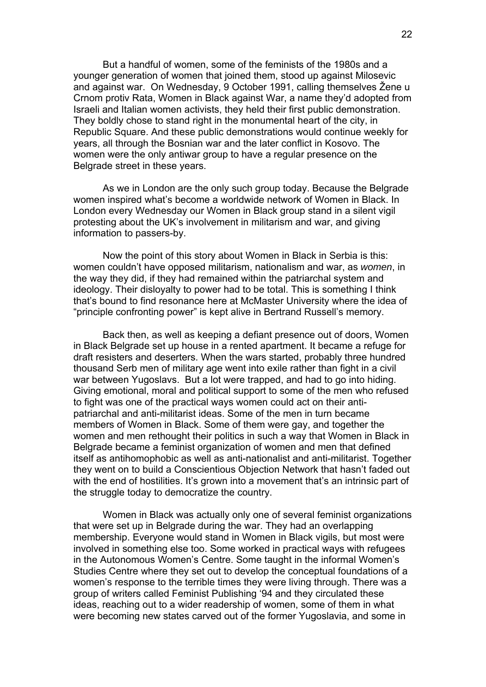But a handful of women, some of the feminists of the 1980s and a younger generation of women that joined them, stood up against Milosevic and against war. On Wednesday, 9 October 1991, calling themselves Žene u Crnom protiv Rata, Women in Black against War, a name they'd adopted from Israeli and Italian women activists, they held their first public demonstration. They boldly chose to stand right in the monumental heart of the city, in Republic Square. And these public demonstrations would continue weekly for years, all through the Bosnian war and the later conflict in Kosovo. The women were the only antiwar group to have a regular presence on the Belgrade street in these years.

As we in London are the only such group today. Because the Belgrade women inspired what's become a worldwide network of Women in Black. In London every Wednesday our Women in Black group stand in a silent vigil protesting about the UK's involvement in militarism and war, and giving information to passers-by.

Now the point of this story about Women in Black in Serbia is this: women couldn't have opposed militarism, nationalism and war, as *women*, in the way they did, if they had remained within the patriarchal system and ideology. Their disloyalty to power had to be total. This is something I think that's bound to find resonance here at McMaster University where the idea of "principle confronting power" is kept alive in Bertrand Russell's memory.

Back then, as well as keeping a defiant presence out of doors, Women in Black Belgrade set up house in a rented apartment. It became a refuge for draft resisters and deserters. When the wars started, probably three hundred thousand Serb men of military age went into exile rather than fight in a civil war between Yugoslavs. But a lot were trapped, and had to go into hiding. Giving emotional, moral and political support to some of the men who refused to fight was one of the practical ways women could act on their antipatriarchal and anti-militarist ideas. Some of the men in turn became members of Women in Black. Some of them were gay, and together the women and men rethought their politics in such a way that Women in Black in Belgrade became a feminist organization of women and men that defined itself as antihomophobic as well as anti-nationalist and anti-militarist. Together they went on to build a Conscientious Objection Network that hasn't faded out with the end of hostilities. It's grown into a movement that's an intrinsic part of the struggle today to democratize the country.

Women in Black was actually only one of several feminist organizations that were set up in Belgrade during the war. They had an overlapping membership. Everyone would stand in Women in Black vigils, but most were involved in something else too. Some worked in practical ways with refugees in the Autonomous Women's Centre. Some taught in the informal Women's Studies Centre where they set out to develop the conceptual foundations of a women's response to the terrible times they were living through. There was a group of writers called Feminist Publishing '94 and they circulated these ideas, reaching out to a wider readership of women, some of them in what were becoming new states carved out of the former Yugoslavia, and some in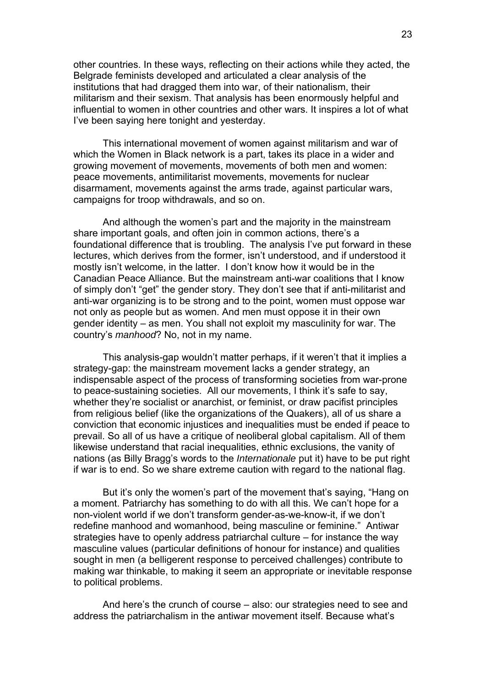other countries. In these ways, reflecting on their actions while they acted, the Belgrade feminists developed and articulated a clear analysis of the institutions that had dragged them into war, of their nationalism, their militarism and their sexism. That analysis has been enormously helpful and influential to women in other countries and other wars. It inspires a lot of what I've been saying here tonight and yesterday.

This international movement of women against militarism and war of which the Women in Black network is a part, takes its place in a wider and growing movement of movements, movements of both men and women: peace movements, antimilitarist movements, movements for nuclear disarmament, movements against the arms trade, against particular wars, campaigns for troop withdrawals, and so on.

And although the women's part and the majority in the mainstream share important goals, and often join in common actions, there's a foundational difference that is troubling. The analysis I've put forward in these lectures, which derives from the former, isn't understood, and if understood it mostly isn't welcome, in the latter. I don't know how it would be in the Canadian Peace Alliance. But the mainstream anti-war coalitions that I know of simply don't "get" the gender story. They don't see that if anti-militarist and anti-war organizing is to be strong and to the point, women must oppose war not only as people but as women. And men must oppose it in their own gender identity – as men. You shall not exploit my masculinity for war. The country's *manhood*? No, not in my name.

This analysis-gap wouldn't matter perhaps, if it weren't that it implies a strategy-gap: the mainstream movement lacks a gender strategy, an indispensable aspect of the process of transforming societies from war-prone to peace-sustaining societies. All our movements, I think it's safe to say, whether they're socialist or anarchist, or feminist, or draw pacifist principles from religious belief (like the organizations of the Quakers), all of us share a conviction that economic injustices and inequalities must be ended if peace to prevail. So all of us have a critique of neoliberal global capitalism. All of them likewise understand that racial inequalities, ethnic exclusions, the vanity of nations (as Billy Bragg's words to the *Internationale* put it) have to be put right if war is to end. So we share extreme caution with regard to the national flag.

But it's only the women's part of the movement that's saying, "Hang on a moment. Patriarchy has something to do with all this. We can't hope for a non-violent world if we don't transform gender-as-we-know-it, if we don't redefine manhood and womanhood, being masculine or feminine." Antiwar strategies have to openly address patriarchal culture – for instance the way masculine values (particular definitions of honour for instance) and qualities sought in men (a belligerent response to perceived challenges) contribute to making war thinkable, to making it seem an appropriate or inevitable response to political problems.

And here's the crunch of course – also: our strategies need to see and address the patriarchalism in the antiwar movement itself. Because what's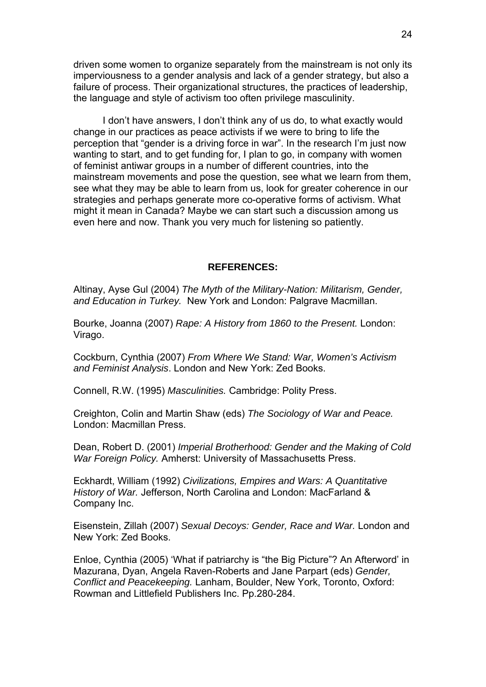driven some women to organize separately from the mainstream is not only its imperviousness to a gender analysis and lack of a gender strategy, but also a failure of process. Their organizational structures, the practices of leadership, the language and style of activism too often privilege masculinity.

I don't have answers, I don't think any of us do, to what exactly would change in our practices as peace activists if we were to bring to life the perception that "gender is a driving force in war". In the research I'm just now wanting to start, and to get funding for, I plan to go, in company with women of feminist antiwar groups in a number of different countries, into the mainstream movements and pose the question, see what we learn from them, see what they may be able to learn from us, look for greater coherence in our strategies and perhaps generate more co-operative forms of activism. What might it mean in Canada? Maybe we can start such a discussion among us even here and now. Thank you very much for listening so patiently.

#### **REFERENCES:**

Altinay, Ayse Gul (2004) *The Myth of the Military-Nation: Militarism, Gender, and Education in Turkey.* New York and London: Palgrave Macmillan.

Bourke, Joanna (2007) *Rape: A History from 1860 to the Present.* London: Virago.

Cockburn, Cynthia (2007) *From Where We Stand: War, Women's Activism and Feminist Analysis*. London and New York: Zed Books.

Connell, R.W. (1995) *Masculinities.* Cambridge: Polity Press.

Creighton, Colin and Martin Shaw (eds) *The Sociology of War and Peace.*  London: Macmillan Press.

Dean, Robert D. (2001) *Imperial Brotherhood: Gender and the Making of Cold War Foreign Policy.* Amherst: University of Massachusetts Press.

Eckhardt, William (1992) *Civilizations, Empires and Wars: A Quantitative History of War.* Jefferson, North Carolina and London: MacFarland & Company Inc.

Eisenstein, Zillah (2007) *Sexual Decoys: Gender, Race and War.* London and New York: Zed Books.

Enloe, Cynthia (2005) 'What if patriarchy is "the Big Picture"? An Afterword' in Mazurana, Dyan, Angela Raven-Roberts and Jane Parpart (eds) *Gender, Conflict and Peacekeeping.* Lanham, Boulder, New York, Toronto, Oxford: Rowman and Littlefield Publishers Inc. Pp.280-284.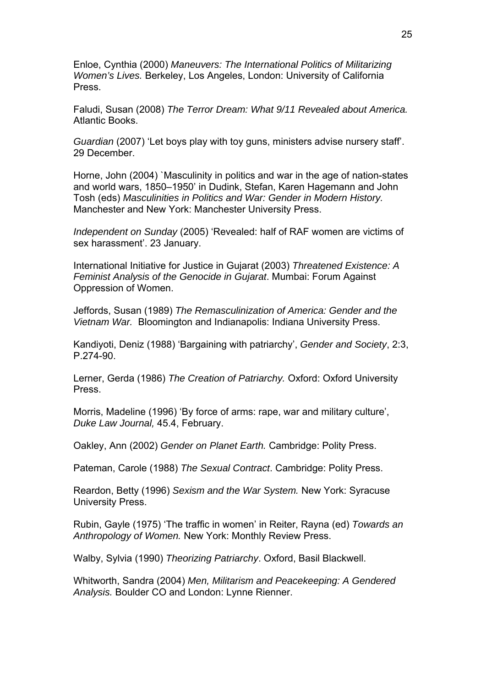Enloe, Cynthia (2000) *Maneuvers: The International Politics of Militarizing Women's Lives.* Berkeley, Los Angeles, London: University of California Press.

Faludi, Susan (2008) *The Terror Dream: What 9/11 Revealed about America.*  Atlantic Books.

*Guardian* (2007) 'Let boys play with toy guns, ministers advise nursery staff'. 29 December.

Horne, John (2004) `Masculinity in politics and war in the age of nation-states and world wars, 1850–1950' in Dudink, Stefan, Karen Hagemann and John Tosh (eds) *Masculinities in Politics and War: Gender in Modern History.*  Manchester and New York: Manchester University Press.

*Independent on Sunday* (2005) 'Revealed: half of RAF women are victims of sex harassment'. 23 January.

International Initiative for Justice in Gujarat (2003) *Threatened Existence: A Feminist Analysis of the Genocide in Gujarat*. Mumbai: Forum Against Oppression of Women.

Jeffords, Susan (1989) *The Remasculinization of America: Gender and the Vietnam War.* Bloomington and Indianapolis: Indiana University Press.

Kandiyoti, Deniz (1988) 'Bargaining with patriarchy', *Gender and Society*, 2:3, P.274-90.

Lerner, Gerda (1986) *The Creation of Patriarchy.* Oxford: Oxford University Press.

Morris, Madeline (1996) 'By force of arms: rape, war and military culture', *Duke Law Journal,* 45.4, February.

Oakley, Ann (2002) *Gender on Planet Earth.* Cambridge: Polity Press.

Pateman, Carole (1988) *The Sexual Contract*. Cambridge: Polity Press.

Reardon, Betty (1996) *Sexism and the War System.* New York: Syracuse University Press.

Rubin, Gayle (1975) 'The traffic in women' in Reiter, Rayna (ed) *Towards an Anthropology of Women.* New York: Monthly Review Press.

Walby, Sylvia (1990) *Theorizing Patriarchy*. Oxford, Basil Blackwell.

Whitworth, Sandra (2004) *Men, Militarism and Peacekeeping: A Gendered Analysis.* Boulder CO and London: Lynne Rienner.